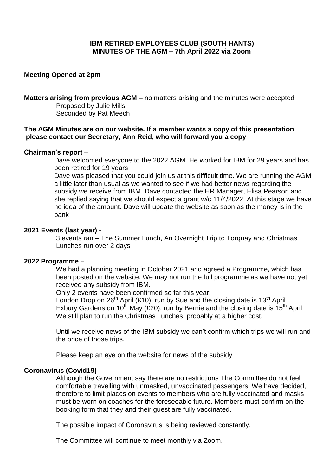# **IBM RETIRED EMPLOYEES CLUB (SOUTH HANTS) MINUTES OF THE AGM – 7th April 2022 via Zoom**

## **Meeting Opened at 2pm**

**Matters arising from previous AGM –** no matters arising and the minutes were accepted Proposed by Julie Mills Seconded by Pat Meech

## **The AGM Minutes are on our website. If a member wants a copy of this presentation please contact our Secretary, Ann Reid, who will forward you a copy**

## **Chairman's report** –

 Dave welcomed everyone to the 2022 AGM. He worked for IBM for 29 years and has been retired for 19 years

 Dave was pleased that you could join us at this difficult time. We are running the AGM a little later than usual as we wanted to see if we had better news regarding the subsidy we receive from IBM. Dave contacted the HR Manager, Elisa Pearson and she replied saying that we should expect a grant w/c 11/4/2022. At this stage we have no idea of the amount. Dave will update the website as soon as the money is in the bank

#### **2021 Events (last year) -**

 3 events ran – The Summer Lunch, An Overnight Trip to Torquay and Christmas Lunches run over 2 days

#### **2022 Programme** –

 We had a planning meeting in October 2021 and agreed a Programme, which has been posted on the website. We may not run the full programme as we have not yet received any subsidy from IBM.

Only 2 events have been confirmed so far this year:

London Drop on 26<sup>th</sup> April (£10), run by Sue and the closing date is 13<sup>th</sup> April Exbury Gardens on 10<sup>th</sup> May (£20), run by Bernie and the closing date is 15<sup>th</sup> April We still plan to run the Christmas Lunches, probably at a higher cost.

 Until we receive news of the IBM subsidy we can't confirm which trips we will run and the price of those trips.

Please keep an eye on the website for news of the subsidy

## **Coronavirus (Covid19) –**

Although the Government say there are no restrictions The Committee do not feel comfortable travelling with unmasked, unvaccinated passengers. We have decided, therefore to limit places on events to members who are fully vaccinated and masks must be worn on coaches for the foreseeable future. Members must confirm on the booking form that they and their guest are fully vaccinated.

The possible impact of Coronavirus is being reviewed constantly.

The Committee will continue to meet monthly via Zoom.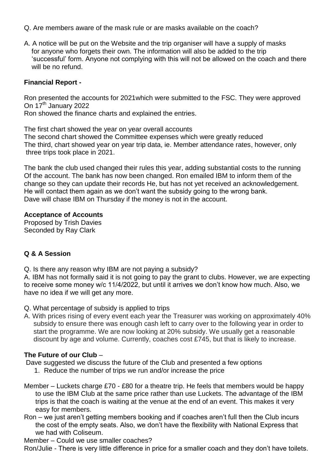- Q. Are members aware of the mask rule or are masks available on the coach?
- A. A notice will be put on the Website and the trip organiser will have a supply of masks for anyone who forgets their own. The information will also be added to the trip 'successful' form. Anyone not complying with this will not be allowed on the coach and there will be no refund.

## **Financial Report -**

Ron presented the accounts for 2021which were submitted to the FSC. They were approved On 17<sup>th</sup> January 2022

Ron showed the finance charts and explained the entries.

The first chart showed the year on year overall accounts The second chart showed the Committee expenses which were greatly reduced The third, chart showed year on year trip data, ie. Member attendance rates, however, only three trips took place in 2021.

The bank the club used changed their rules this year, adding substantial costs to the running Of the account. The bank has now been changed. Ron emailed IBM to inform them of the change so they can update their records He, but has not yet received an acknowledgement. He will contact them again as we don't want the subsidy going to the wrong bank. Dave will chase IBM on Thursday if the money is not in the account.

## **Acceptance of Accounts**

Proposed by Trish Davies Seconded by Ray Clark

# **Q & A Session**

Q. Is there any reason why IBM are not paying a subsidy?

A. IBM has not formally said it is not going to pay the grant to clubs. However, we are expecting to receive some money w/c 11/4/2022, but until it arrives we don't know how much. Also, we have no idea if we will get any more.

- Q. What percentage of subsidy is applied to trips
- A. With prices rising of every event each year the Treasurer was working on approximately 40% subsidy to ensure there was enough cash left to carry over to the following year in order to start the programme. We are now looking at 20% subsidy. We usually get a reasonable discount by age and volume. Currently, coaches cost £745, but that is likely to increase.

# **The Future of our Club** –

Dave suggested we discuss the future of the Club and presented a few options

- 1. Reduce the number of trips we run and/or increase the price
- Member Luckets charge £70 £80 for a theatre trip. He feels that members would be happy to use the IBM Club at the same price rather than use Luckets. The advantage of the IBM trips is that the coach is waiting at the venue at the end of an event. This makes it very easy for members.
- Ron we just aren't getting members booking and if coaches aren't full then the Club incurs the cost of the empty seats. Also, we don't have the flexibility with National Express that we had with Coliseum.

Member – Could we use smaller coaches?

Ron/Julie - There is very little difference in price for a smaller coach and they don't have toilets.